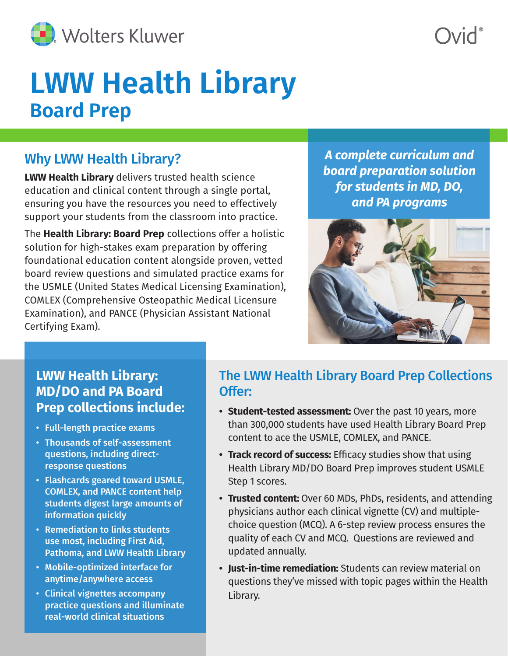

# **LWW Health Library Board Prep**

#### Why LWW Health Library?

**LWW Health Library** delivers trusted health science education and clinical content through a single portal, ensuring you have the resources you need to effectively support your students from the classroom into practice.

The **Health Library: Board Prep** collections offer a holistic solution for high-stakes exam preparation by offering foundational education content alongside proven, vetted board review questions and simulated practice exams for the USMLE (United States Medical Licensing Examination), COMLEX (Comprehensive Osteopathic Medical Licensure Examination), and PANCE (Physician Assistant National Certifying Exam).

*A complete curriculum and board preparation solution for students in MD, DO, and PA programs*



## **LWW Health Library: MD/DO and PA Board Prep collections include:**

- Full-length practice exams
- Thousands of self-assessment questions, including directresponse questions
- Flashcards geared toward USMLE, COMLEX, and PANCE content help students digest large amounts of information quickly
- Remediation to links students use most, including First Aid, Pathoma, and LWW Health Library
- Mobile-optimized interface for anytime/anywhere access
- Clinical vignettes accompany practice questions and illuminate real-world clinical situations

## The LWW Health Library Board Prep Collections Offer:

- **• Student-tested assessment:** Over the past 10 years, more than 300,000 students have used Health Library Board Prep content to ace the USMLE, COMLEX, and PANCE.
- **• Track record of success:** Efficacy studies show that using Health Library MD/DO Board Prep improves student USMLE Step 1 scores.
- **• Trusted content:** Over 60 MDs, PhDs, residents, and attending physicians author each clinical vignette (CV) and multiplechoice question (MCQ). A 6-step review process ensures the quality of each CV and MCQ. Questions are reviewed and updated annually.
- **• Just-in-time remediation:** Students can review material on questions they've missed with topic pages within the Health Library.